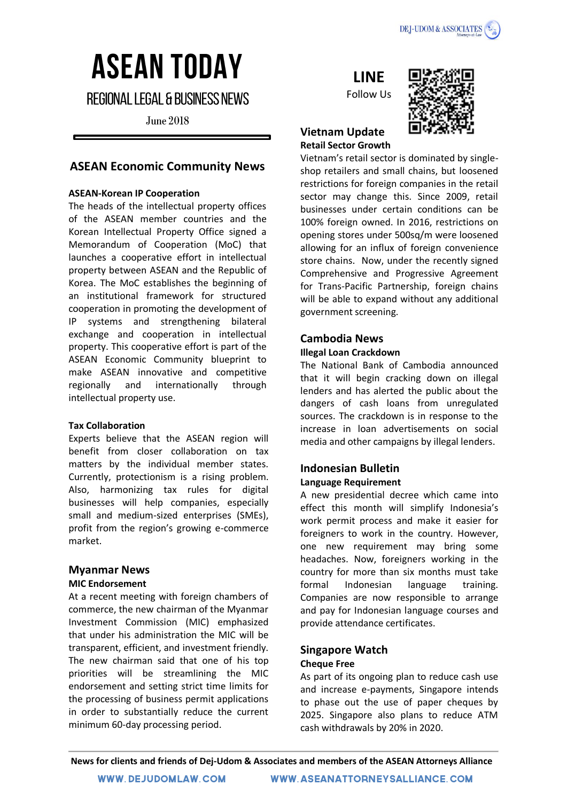

# **ASEAN TODAY**

**REGIONAL LEGAL & BUSINESS NEWS** 

**June 2018** 

## **ASEAN Economic Community News**

## **ASEAN-Korean IP Cooperation**

The heads of the intellectual property offices of the ASEAN member countries and the Korean Intellectual Property Office signed a Memorandum of Cooperation (MoC) that launches a cooperative effort in intellectual property between ASEAN and the Republic of Korea. The MoC establishes the beginning of an institutional framework for structured cooperation in promoting the development of IP systems and strengthening bilateral exchange and cooperation in intellectual property. This cooperative effort is part of the ASEAN Economic Community blueprint to make ASEAN innovative and competitive regionally and internationally through intellectual property use.

#### **Tax Collaboration**

Experts believe that the ASEAN region will benefit from closer collaboration on tax matters by the individual member states. Currently, protectionism is a rising problem. Also, harmonizing tax rules for digital businesses will help companies, especially small and medium-sized enterprises (SMEs), profit from the region's growing e-commerce market.

## **Myanmar News**

#### **MIC Endorsement**

At a recent meeting with foreign chambers of commerce, the new chairman of the Myanmar Investment Commission (MIC) emphasized that under his administration the MIC will be transparent, efficient, and investment friendly. The new chairman said that one of his top priorities will be streamlining the MIC endorsement and setting strict time limits for the processing of business permit applications in order to substantially reduce the current minimum 60-day processing period.

## **LINE**

Follow Us



## **Vietnam Update Retail Sector Growth**

Vietnam's retail sector is dominated by singleshop retailers and small chains, but loosened restrictions for foreign companies in the retail sector may change this. Since 2009, retail businesses under certain conditions can be 100% foreign owned. In 2016, restrictions on opening stores under 500sq/m were loosened allowing for an influx of foreign convenience store chains. Now, under the recently signed Comprehensive and Progressive Agreement for Trans-Pacific Partnership, foreign chains will be able to expand without any additional government screening.

## **Cambodia News**

#### **Illegal Loan Crackdown**

The National Bank of Cambodia announced that it will begin cracking down on illegal lenders and has alerted the public about the dangers of cash loans from unregulated sources. The crackdown is in response to the increase in loan advertisements on social media and other campaigns by illegal lenders.

## **Indonesian Bulletin Language Requirement**

A new presidential decree which came into effect this month will simplify Indonesia's work permit process and make it easier for foreigners to work in the country. However, one new requirement may bring some headaches. Now, foreigners working in the country for more than six months must take formal Indonesian language training. Companies are now responsible to arrange and pay for Indonesian language courses and provide attendance certificates.

## **Singapore Watch Cheque Free**

As part of its ongoing plan to reduce cash use and increase e-payments, Singapore intends to phase out the use of paper cheques by 2025. Singapore also plans to reduce ATM cash withdrawals by 20% in 2020.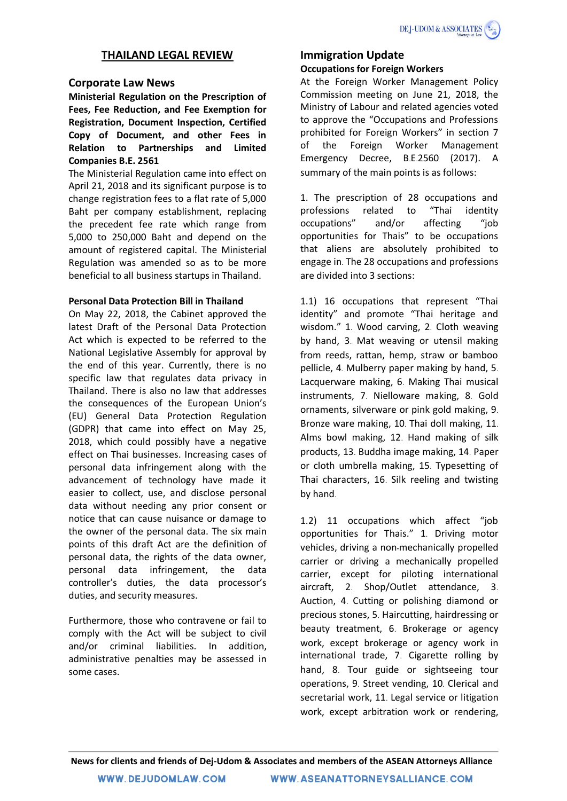## **THAILAND LEGAL REVIEW**

## **Corporate Law News**

**Ministerial Regulation on the Prescription of Fees, Fee Reduction, and Fee Exemption for Registration, Document Inspection, Certified Copy of Document, and other Fees in Relation to Partnerships and Limited Companies B.E. 2561** 

The Ministerial Regulation came into effect on April 21, 2018 and its significant purpose is to change registration fees to a flat rate of 5,000 Baht per company establishment, replacing the precedent fee rate which range from 5,000 to 250,000 Baht and depend on the amount of registered capital. The Ministerial Regulation was amended so as to be more beneficial to all business startups in Thailand.

## **Personal Data Protection Bill in Thailand**

On May 22, 2018, the Cabinet approved the latest Draft of the Personal Data Protection Act which is expected to be referred to the National Legislative Assembly for approval by the end of this year. Currently, there is no specific law that regulates data privacy in Thailand. There is also no law that addresses the consequences of the European Union's (EU) General Data Protection Regulation (GDPR) that came into effect on May 25, 2018, which could possibly have a negative effect on Thai businesses. Increasing cases of personal data infringement along with the advancement of technology have made it easier to collect, use, and disclose personal data without needing any prior consent or notice that can cause nuisance or damage to the owner of the personal data. The six main points of this draft Act are the definition of personal data, the rights of the data owner, personal data infringement, the data controller's duties, the data processor's duties, and security measures.

Furthermore, those who contravene or fail to comply with the Act will be subject to civil and/or criminal liabilities. In addition, administrative penalties may be assessed in some cases.

## **Immigration Update**

## **Occupations for Foreign Workers**

At the Foreign Worker Management Policy Commission meeting on June 21, 2018, the Ministry of Labour and related agencies voted to approve the "Occupations and Professions prohibited for Foreign Workers" in section 7 of the Foreign Worker Management Emergency Decree, B.E.2560 (2017). A summary of the main points is as follows:

1. The prescription of 28 occupations and professions related to "Thai identity occupations" and/or affecting "job opportunities for Thais" to be occupations that aliens are absolutely prohibited to engage in. The 28 occupations and professions are divided into 3 sections:

1.1) 16 occupations that represent "Thai identity" and promote "Thai heritage and wisdom." 1. Wood carving, 2. Cloth weaving by hand, 3. Mat weaving or utensil making from reeds, rattan, hemp, straw or bamboo pellicle, 4. Mulberry paper making by hand, 5. Lacquerware making, 6. Making Thai musical instruments, 7. Nielloware making, 8. Gold ornaments, silverware or pink gold making, 9. Bronze ware making, 10. Thai doll making, 11. Alms bowl making, 12. Hand making of silk products, 13. Buddha image making, 14. Paper or cloth umbrella making, 15. Typesetting of Thai characters, 16. Silk reeling and twisting by hand.

1.2) 11 occupations which affect "job opportunities for Thais." 1. Driving motor vehicles, driving a non-mechanically propelled carrier or driving a mechanically propelled carrier, except for piloting international aircraft, 2. Shop/Outlet attendance, 3. Auction, 4. Cutting or polishing diamond or precious stones, 5. Haircutting, hairdressing or beauty treatment, 6. Brokerage or agency work, except brokerage or agency work in international trade, 7. Cigarette rolling by hand, 8. Tour guide or sightseeing tour operations, 9. Street vending, 10. Clerical and secretarial work, 11. Legal service or litigation work, except arbitration work or rendering,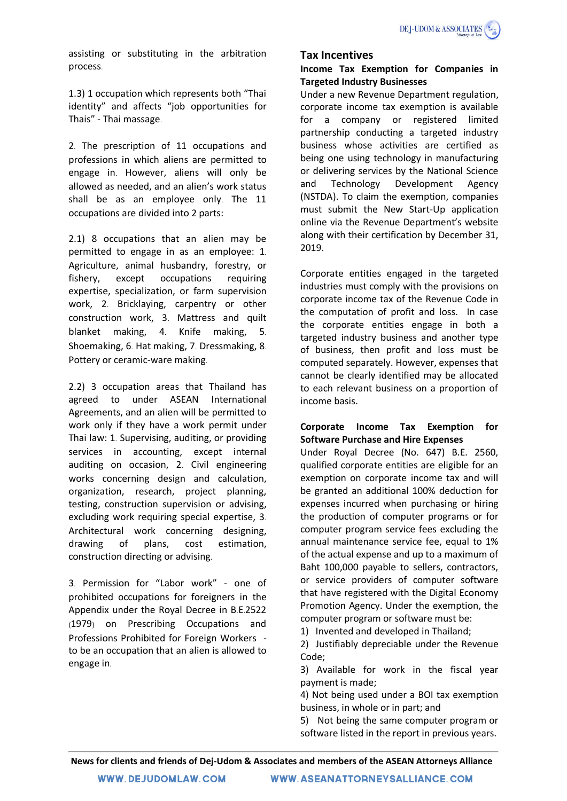assisting or substituting in the arbitration process.

1.3) 1 occupation which represents both "Thai identity" and affects "job opportunities for Thais" - Thai massage.

2. The prescription of 11 occupations and professions in which aliens are permitted to engage in. However, aliens will only be allowed as needed, and an alien's work status shall be as an employee only. The 11 occupations are divided into 2 parts:

2.1) 8 occupations that an alien may be permitted to engage in as an employee: 1. Agriculture, animal husbandry, forestry, or fishery, except occupations requiring expertise, specialization, or farm supervision work, 2. Bricklaying, carpentry or other construction work, 3. Mattress and quilt blanket making, 4. Knife making, 5. Shoemaking, 6. Hat making, 7. Dressmaking, 8. Pottery or ceramic-ware making.

2.2) 3 occupation areas that Thailand has agreed to under ASEAN International Agreements, and an alien will be permitted to work only if they have a work permit under Thai law: 1. Supervising, auditing, or providing services in accounting, except internal auditing on occasion, 2. Civil engineering works concerning design and calculation, organization, research, project planning, testing, construction supervision or advising, excluding work requiring special expertise, 3. Architectural work concerning designing, drawing of plans, cost estimation, construction directing or advising.

3. Permission for "Labor work" - one of prohibited occupations for foreigners in the Appendix under the Royal Decree in B.E.2522 (1979) on Prescribing Occupations and Professions Prohibited for Foreign Workers to be an occupation that an alien is allowed to engage in.

## **Tax Incentives**

## **Income Tax Exemption for Companies in Targeted Industry Businesses**

Under a new Revenue Department regulation, corporate income tax exemption is available for a company or registered limited partnership conducting a targeted industry business whose activities are certified as being one using technology in manufacturing or delivering services by the National Science and Technology Development Agency (NSTDA). To claim the exemption, companies must submit the New Start-Up application online via the Revenue Department's website along with their certification by December 31, 2019.

Corporate entities engaged in the targeted industries must comply with the provisions on corporate income tax of the Revenue Code in the computation of profit and loss. In case the corporate entities engage in both a targeted industry business and another type of business, then profit and loss must be computed separately. However, expenses that cannot be clearly identified may be allocated to each relevant business on a proportion of income basis.

## **Corporate Income Tax Exemption for Software Purchase and Hire Expenses**

Under Royal Decree (No. 647) B.E. 2560, qualified corporate entities are eligible for an exemption on corporate income tax and will be granted an additional 100% deduction for expenses incurred when purchasing or hiring the production of computer programs or for computer program service fees excluding the annual maintenance service fee, equal to 1% of the actual expense and up to a maximum of Baht 100,000 payable to sellers, contractors, or service providers of computer software that have registered with the Digital Economy Promotion Agency. Under the exemption, the computer program or software must be:

1) Invented and developed in Thailand;

2) Justifiably depreciable under the Revenue Code;

3) Available for work in the fiscal year payment is made;

4) Not being used under a BOI tax exemption business, in whole or in part; and

5) Not being the same computer program or software listed in the report in previous years.